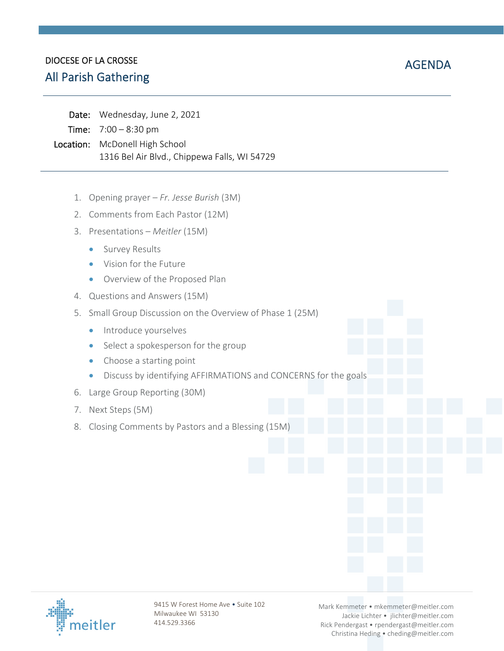# DIOCESE OF LA CROSSE DIOCESE OF LA CROSSE<br>All Parish Gathering  $\blacksquare$

| Date: Wednesday, June 2, 2021                |
|----------------------------------------------|
| <b>Time:</b> $7:00 - 8:30 \text{ pm}$        |
| Location: McDonell High School               |
| 1316 Bel Air Blvd., Chippewa Falls, WI 54729 |

- 1. Opening prayer *Fr. Jesse Burish* (3M)
- 2. Comments from Each Pastor (12M)
- 3. Presentations *Meitler* (15M)
	- **Survey Results**
	- Vision for the Future
	- Overview of the Proposed Plan
- 4. Questions and Answers (15M)
- 5. Small Group Discussion on the Overview of Phase 1 (25M)
	- **Introduce yourselves**
	- Select a spokesperson for the group
	- Choose a starting point
	- Discuss by identifying AFFIRMATIONS and CONCERNS for the goals
- 6. Large Group Reporting (30M)
- 7. Next Steps (5M)
- 8. Closing Comments by Pastors and a Blessing (15M)



9415 W Forest Home Ave . Suite 102 Milwaukee WI 53130 414.529.3366

Mark Kemmeter • mkemmeter@meitler.com Jackie Lichter • jlichter@meitler.com Rick Pendergast • rpendergast@meitler.com Christina Heding • cheding@meitler.com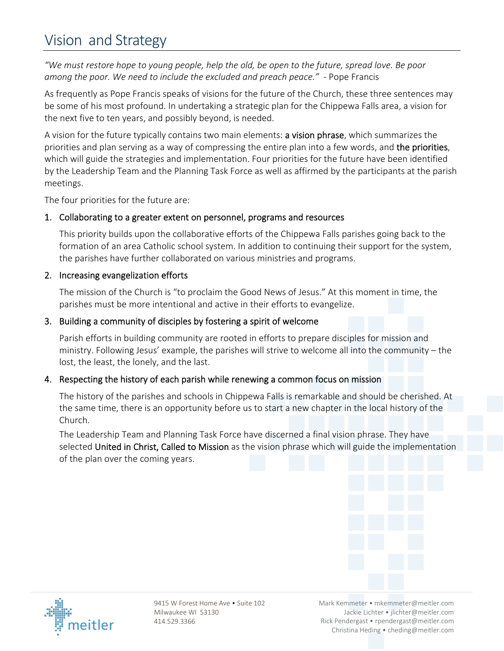# Vision and Strategy

"We must restore hope to young people, help the old, be open to the future, spread love. Be poor *among the poor. We need to include the excluded and preach peace."* ‐ Pope Francis

As frequently as Pope Francis speaks of visions for the future of the Church, these three sentences may be some of his most profound. In undertaking a strategic plan for the Chippewa Falls area, a vision for the next five to ten years, and possibly beyond, is needed.

A vision for the future typically contains two main elements: a vision phrase, which summarizes the priorities and plan serving as a way of compressing the entire plan into a few words, and the priorities, which will guide the strategies and implementation. Four priorities for the future have been identified by the Leadership Team and the Planning Task Force as well as affirmed by the participants at the parish meetings.

The four priorities for the future are:

# 1. Collaborating to a greater extent on personnel, programs and resources

This priority builds upon the collaborative efforts of the Chippewa Falls parishes going back to the formation of an area Catholic school system. In addition to continuing their support for the system, the parishes have further collaborated on various ministries and programs.

### 2. Increasing evangelization efforts

The mission of the Church is "to proclaim the Good News of Jesus." At this moment in time, the parishes must be more intentional and active in their efforts to evangelize.

#### 3. Building a community of disciples by fostering a spirit of welcome

Parish efforts in building community are rooted in efforts to prepare disciples for mission and ministry. Following Jesus' example, the parishes will strive to welcome all into the community – the lost, the least, the lonely, and the last.

# 4. Respecting the history of each parish while renewing a common focus on mission

The history of the parishes and schools in Chippewa Falls is remarkable and should be cherished. At the same time, there is an opportunity before us to start a new chapter in the local history of the Church.

The Leadership Team and Planning Task Force have discerned a final vision phrase. They have selected United in Christ, Called to Mission as the vision phrase which will guide the implementation of the plan over the coming years.





9415 W Forest Home Ave • Suite 102 Milwaukee WI 53130 414.529.3366

Mark Kemmeter • mkemmeter@meitler.com Jackie Lichter • jlichter@meitler.com Rick Pendergast • rpendergast@meitler.com Christina Heding • cheding@meitler.com